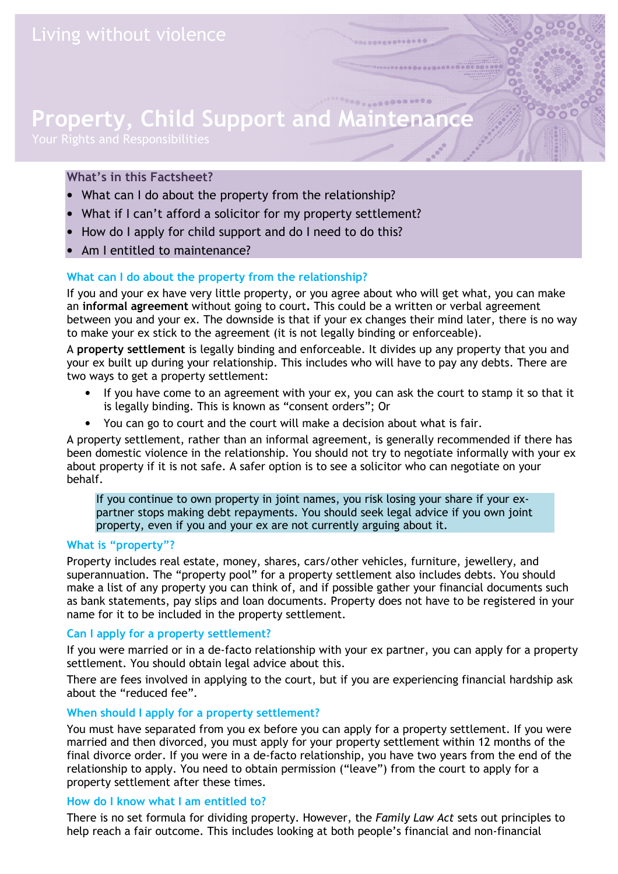# Property, Child Support and Mai

# What's in this Factsheet?

- What can I do about the property from the relationship?
- What if I can't afford a solicitor for my property settlement?
- How do I apply for child support and do I need to do this?
- Am I entitled to maintenance?

## What can I do about the property from the relationship?

If you and your ex have very little property, or you agree about who will get what, you can make an informal agreement without going to court. This could be a written or verbal agreement between you and your ex. The downside is that if your ex changes their mind later, there is no way to make your ex stick to the agreement (it is not legally binding or enforceable).

A property settlement is legally binding and enforceable. It divides up any property that you and your ex built up during your relationship. This includes who will have to pay any debts. There are two ways to get a property settlement:

- If you have come to an agreement with your ex, you can ask the court to stamp it so that it is legally binding. This is known as "consent orders"; Or
- You can go to court and the court will make a decision about what is fair.

A property settlement, rather than an informal agreement, is generally recommended if there has been domestic violence in the relationship. You should not try to negotiate informally with your ex about property if it is not safe. A safer option is to see a solicitor who can negotiate on your behalf.

If you continue to own property in joint names, you risk losing your share if your expartner stops making debt repayments. You should seek legal advice if you own joint property, even if you and your ex are not currently arguing about it.

#### What is "property"?

Property includes real estate, money, shares, cars/other vehicles, furniture, jewellery, and superannuation. The "property pool" for a property settlement also includes debts. You should make a list of any property you can think of, and if possible gather your financial documents such as bank statements, pay slips and loan documents. Property does not have to be registered in your name for it to be included in the property settlement.

### Can I apply for a property settlement?

If you were married or in a de-facto relationship with your ex partner, you can apply for a property settlement. You should obtain legal advice about this.

There are fees involved in applying to the court, but if you are experiencing financial hardship ask about the "reduced fee".

### When should I apply for a property settlement?

You must have separated from you ex before you can apply for a property settlement. If you were married and then divorced, you must apply for your property settlement within 12 months of the final divorce order. If you were in a de-facto relationship, you have two years from the end of the relationship to apply. You need to obtain permission ("leave") from the court to apply for a property settlement after these times.

### How do I know what I am entitled to?

There is no set formula for dividing property. However, the Family Law Act sets out principles to help reach a fair outcome. This includes looking at both people's financial and non-financial